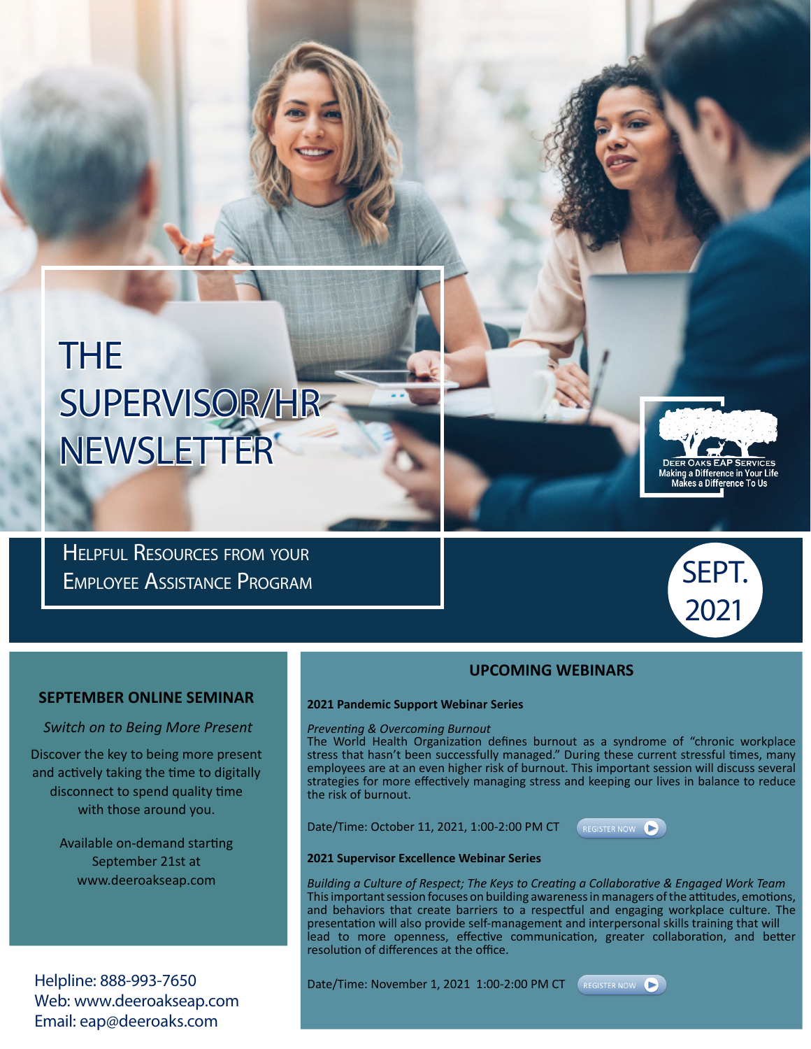# THE SUPERVISOR/HR NEWSLETTER

Helpful Resources from your Employee Assistance Program



Making a Difference in Your Life<br>Makes a Difference To Us

### **UPCOMING WEBINARS**

#### **SEPTEMBER ONLINE SEMINAR**

*Switch on to Being More Present*

Discover the key to being more present and actively taking the time to digitally disconnect to spend quality time with those around you.

> Available on-demand starting September 21st at www.deeroakseap.com

Helpline: 888-993-7650 Web: www.deeroakseap.com Email: eap@deeroaks.com

# **2021 Pandemic Support Webinar Series**

#### *Preventing & Overcoming Burnout*

The World Health Organization defines burnout as a syndrome of "chronic workplace stress that hasn't been successfully managed." During these current stressful times, many employees are at an even higher risk of burnout. This important session will discuss several strategies for more effectively managing stress and keeping our lives in balance to reduce the risk of burnout.

Date/Time: October 11, 2021, 1:00-2:00 PM CT



#### **2021 Supervisor Excellence Webinar Series**

*Building a Culture of Respect; The Keys to Creating a Collaborative & Engaged Work Team* This important session focuses on building awareness in managers of the attitudes, emotions, and behaviors that create barriers to a respectful and engaging workplace culture. The presentation will also provide self-management and interpersonal skills training that will lead to more openness, effective communication, greater collaboration, and better resolution of differences at the office.

Date/Time: November 1, 2021 1:00-2:00 PM CT (REGISTER NOW

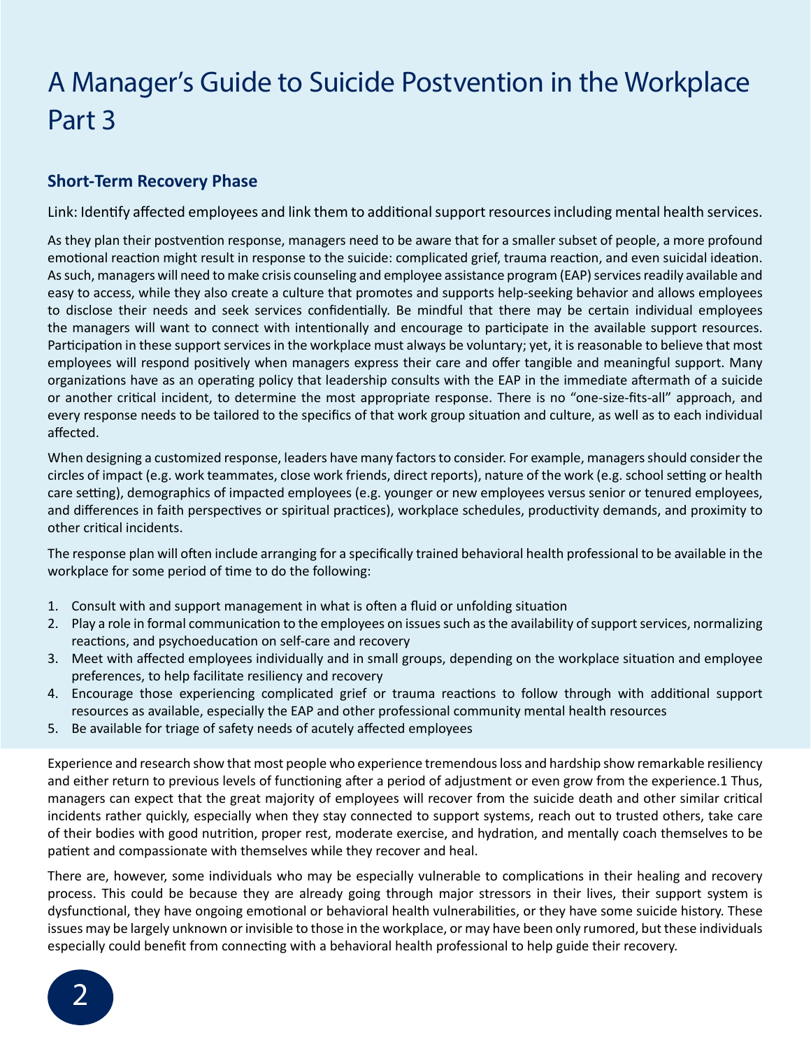# A Manager's Guide to Suicide Postvention in the Workplace Part 3

# **Short-Term Recovery Phase**

Link: Identify affected employees and link them to additional support resources including mental health services.

As they plan their postvention response, managers need to be aware that for a smaller subset of people, a more profound emotional reaction might result in response to the suicide: complicated grief, trauma reaction, and even suicidal ideation. As such, managers will need to make crisis counseling and employee assistance program (EAP) services readily available and easy to access, while they also create a culture that promotes and supports help-seeking behavior and allows employees to disclose their needs and seek services confidentially. Be mindful that there may be certain individual employees the managers will want to connect with intentionally and encourage to participate in the available support resources. Participation in these support services in the workplace must always be voluntary; yet, it is reasonable to believe that most employees will respond positively when managers express their care and offer tangible and meaningful support. Many organizations have as an operating policy that leadership consults with the EAP in the immediate aftermath of a suicide or another critical incident, to determine the most appropriate response. There is no "one-size-fits-all" approach, and every response needs to be tailored to the specifics of that work group situation and culture, as well as to each individual affected.

When designing a customized response, leaders have many factors to consider. For example, managers should consider the circles of impact (e.g. work teammates, close work friends, direct reports), nature of the work (e.g. school setting or health care setting), demographics of impacted employees (e.g. younger or new employees versus senior or tenured employees, and differences in faith perspectives or spiritual practices), workplace schedules, productivity demands, and proximity to other critical incidents.

The response plan will often include arranging for a specifically trained behavioral health professional to be available in the workplace for some period of time to do the following:

- 1. Consult with and support management in what is often a fluid or unfolding situation
- 2. Play a role in formal communication to the employees on issues such as the availability of support services, normalizing reactions, and psychoeducation on self-care and recovery
- 3. Meet with affected employees individually and in small groups, depending on the workplace situation and employee preferences, to help facilitate resiliency and recovery
- 4. Encourage those experiencing complicated grief or trauma reactions to follow through with additional support resources as available, especially the EAP and other professional community mental health resources
- 5. Be available for triage of safety needs of acutely affected employees

Experience and research show that most people who experience tremendous loss and hardship show remarkable resiliency and either return to previous levels of functioning after a period of adjustment or even grow from the experience.1 Thus, managers can expect that the great majority of employees will recover from the suicide death and other similar critical incidents rather quickly, especially when they stay connected to support systems, reach out to trusted others, take care of their bodies with good nutrition, proper rest, moderate exercise, and hydration, and mentally coach themselves to be patient and compassionate with themselves while they recover and heal.

There are, however, some individuals who may be especially vulnerable to complications in their healing and recovery process. This could be because they are already going through major stressors in their lives, their support system is dysfunctional, they have ongoing emotional or behavioral health vulnerabilities, or they have some suicide history. These issues may be largely unknown or invisible to those in the workplace, or may have been only rumored, but these individuals especially could benefit from connecting with a behavioral health professional to help guide their recovery.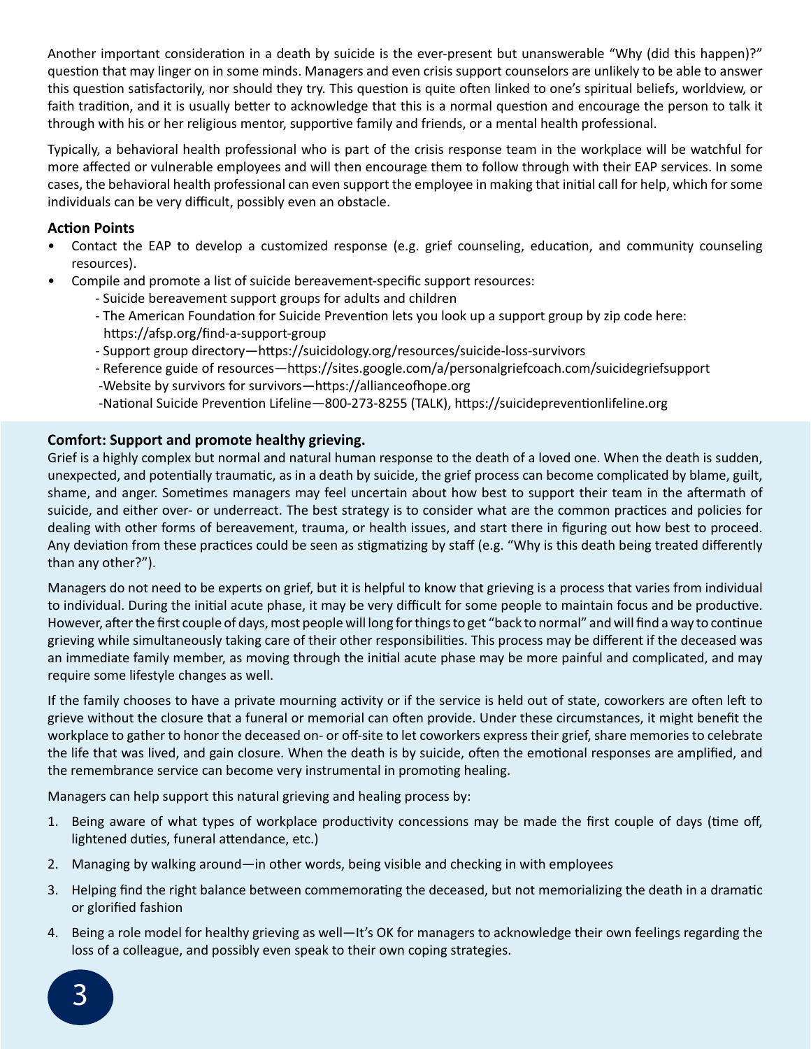Another important consideration in a death by suicide is the ever-present but unanswerable "Why (did this happen)?" question that may linger on in some minds. Managers and even crisis support counselors are unlikely to be able to answer this question satisfactorily, nor should they try. This question is quite often linked to one's spiritual beliefs, worldview, or faith tradition, and it is usually better to acknowledge that this is a normal question and encourage the person to talk it through with his or her religious mentor, supportive family and friends, or a mental health professional.

Typically, a behavioral health professional who is part of the crisis response team in the workplace will be watchful for more affected or vulnerable employees and will then encourage them to follow through with their EAP services. In some cases, the behavioral health professional can even support the employee in making that initial call for help, which for some individuals can be very difficult, possibly even an obstacle.

### **Action Points**

- Contact the EAP to develop a customized response (e.g. grief counseling, education, and community counseling resources).
- Compile and promote a list of suicide bereavement-specific support resources:
	- Suicide bereavement support groups for adults and children
	- The American Foundation for Suicide Prevention lets you look up a support group by zip code here: https://afsp.org/find-a-support-group
	- Support group directory—https://suicidology.org/resources/suicide-loss-survivors
	- Reference guide of resources—https://sites.google.com/a/personalgriefcoach.com/suicidegriefsupport
	- -Website by survivors for survivors—https://allianceofhope.org
	- -National Suicide Prevention Lifeline—800-273-8255 (TALK), https://suicidepreventionlifeline.org

## **Comfort: Support and promote healthy grieving.**

Grief is a highly complex but normal and natural human response to the death of a loved one. When the death is sudden, unexpected, and potentially traumatic, as in a death by suicide, the grief process can become complicated by blame, guilt, shame, and anger. Sometimes managers may feel uncertain about how best to support their team in the aftermath of suicide, and either over- or underreact. The best strategy is to consider what are the common practices and policies for dealing with other forms of bereavement, trauma, or health issues, and start there in figuring out how best to proceed. Any deviation from these practices could be seen as stigmatizing by staff (e.g. "Why is this death being treated differently than any other?").

Managers do not need to be experts on grief, but it is helpful to know that grieving is a process that varies from individual to individual. During the initial acute phase, it may be very difficult for some people to maintain focus and be productive. However, after the first couple of days, most people will long for things to get "back to normal" and will find a way to continue grieving while simultaneously taking care of their other responsibilities. This process may be different if the deceased was an immediate family member, as moving through the initial acute phase may be more painful and complicated, and may require some lifestyle changes as well.

If the family chooses to have a private mourning activity or if the service is held out of state, coworkers are often left to grieve without the closure that a funeral or memorial can often provide. Under these circumstances, it might benefit the workplace to gather to honor the deceased on- or off-site to let coworkers express their grief, share memories to celebrate the life that was lived, and gain closure. When the death is by suicide, often the emotional responses are amplified, and the remembrance service can become very instrumental in promoting healing.

Managers can help support this natural grieving and healing process by:

- 1. Being aware of what types of workplace productivity concessions may be made the first couple of days (time off, lightened duties, funeral attendance, etc.)
- 2. Managing by walking around—in other words, being visible and checking in with employees
- 3. Helping find the right balance between commemorating the deceased, but not memorializing the death in a dramatic or glorified fashion
- 4. Being a role model for healthy grieving as well—It's OK for managers to acknowledge their own feelings regarding the loss of a colleague, and possibly even speak to their own coping strategies.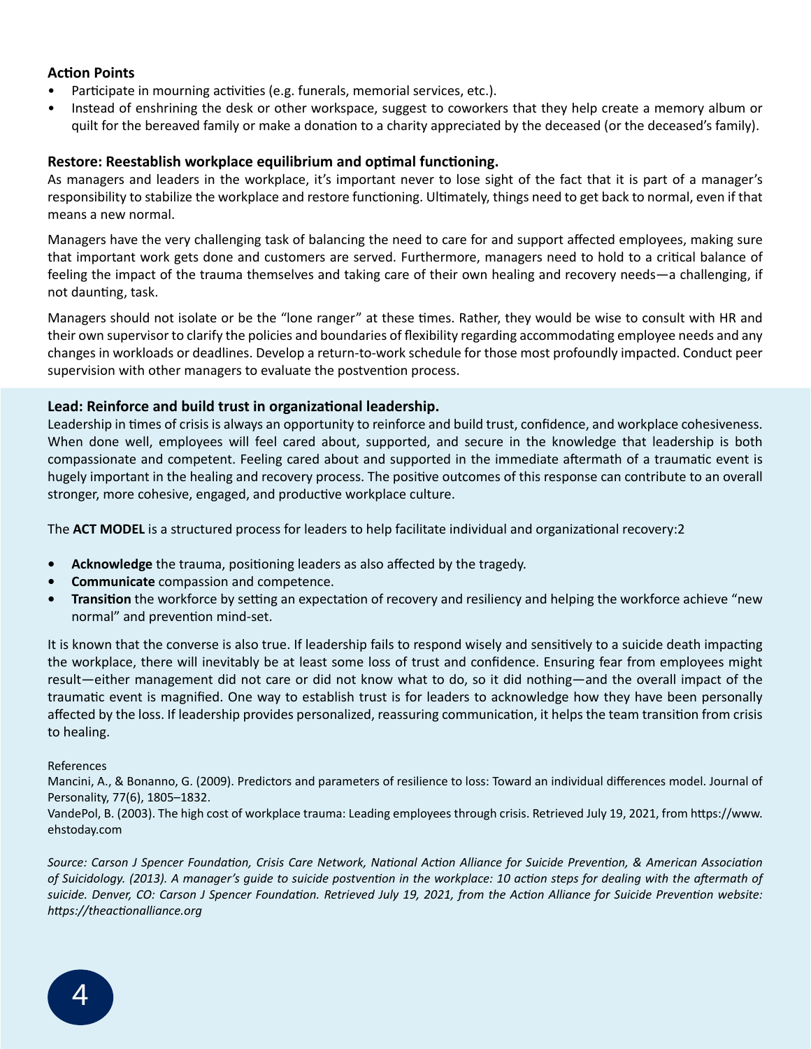### **Action Points**

- Participate in mourning activities (e.g. funerals, memorial services, etc.).
- Instead of enshrining the desk or other workspace, suggest to coworkers that they help create a memory album or quilt for the bereaved family or make a donation to a charity appreciated by the deceased (or the deceased's family).

### **Restore: Reestablish workplace equilibrium and optimal functioning.**

As managers and leaders in the workplace, it's important never to lose sight of the fact that it is part of a manager's responsibility to stabilize the workplace and restore functioning. Ultimately, things need to get back to normal, even if that means a new normal.

Managers have the very challenging task of balancing the need to care for and support affected employees, making sure that important work gets done and customers are served. Furthermore, managers need to hold to a critical balance of feeling the impact of the trauma themselves and taking care of their own healing and recovery needs—a challenging, if not daunting, task.

Managers should not isolate or be the "lone ranger" at these times. Rather, they would be wise to consult with HR and their own supervisor to clarify the policies and boundaries of flexibility regarding accommodating employee needs and any changes in workloads or deadlines. Develop a return-to-work schedule for those most profoundly impacted. Conduct peer supervision with other managers to evaluate the postvention process.

#### **Lead: Reinforce and build trust in organizational leadership.**

Leadership in times of crisis is always an opportunity to reinforce and build trust, confidence, and workplace cohesiveness. When done well, employees will feel cared about, supported, and secure in the knowledge that leadership is both compassionate and competent. Feeling cared about and supported in the immediate aftermath of a traumatic event is hugely important in the healing and recovery process. The positive outcomes of this response can contribute to an overall stronger, more cohesive, engaged, and productive workplace culture.

The **ACT MODEL** is a structured process for leaders to help facilitate individual and organizational recovery:2

- **• Acknowledge** the trauma, positioning leaders as also affected by the tragedy.
- **• Communicate** compassion and competence.
- **• Transition** the workforce by setting an expectation of recovery and resiliency and helping the workforce achieve "new normal" and prevention mind-set.

It is known that the converse is also true. If leadership fails to respond wisely and sensitively to a suicide death impacting the workplace, there will inevitably be at least some loss of trust and confidence. Ensuring fear from employees might result—either management did not care or did not know what to do, so it did nothing—and the overall impact of the traumatic event is magnified. One way to establish trust is for leaders to acknowledge how they have been personally affected by the loss. If leadership provides personalized, reassuring communication, it helps the team transition from crisis to healing.

#### References

Mancini, A., & Bonanno, G. (2009). Predictors and parameters of resilience to loss: Toward an individual differences model. Journal of Personality, 77(6), 1805–1832.

VandePol, B. (2003). The high cost of workplace trauma: Leading employees through crisis. Retrieved July 19, 2021, from https://www. ehstoday.com

*Source: Carson J Spencer Foundation, Crisis Care Network, National Action Alliance for Suicide Prevention, & American Association of Suicidology. (2013). A manager's guide to suicide postvention in the workplace: 10 action steps for dealing with the aftermath of suicide. Denver, CO: Carson J Spencer Foundation. Retrieved July 19, 2021, from the Action Alliance for Suicide Prevention website: https://theactionalliance.org*